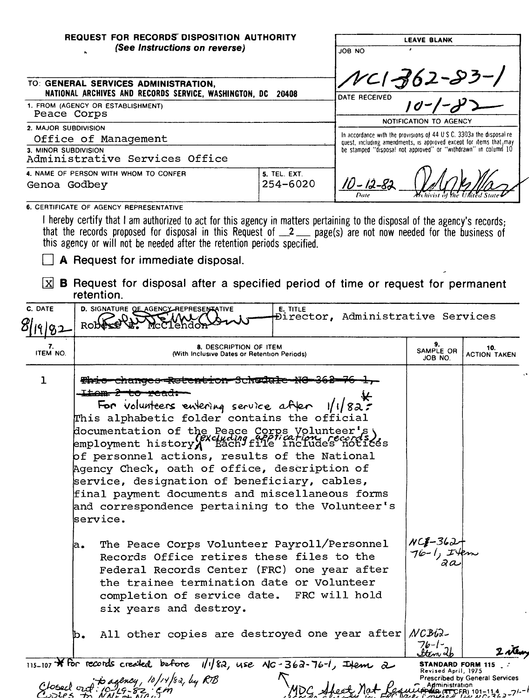| REQUEST FOR RECORDS DISPOSITION AUTHORITY<br>(See Instructions on reverse)                             |                                     | <b>LEAVE BLANK</b><br>JOB NO                                                                                                                 |  |  |
|--------------------------------------------------------------------------------------------------------|-------------------------------------|----------------------------------------------------------------------------------------------------------------------------------------------|--|--|
| TO: GENERAL SERVICES ADMINISTRATION,<br>NATIONAL ARCHIVES AND RECORDS SERVICE, WASHINGTON, DC<br>20408 |                                     | $N$ CI 362-83-1<br>DATE RECEIVED                                                                                                             |  |  |
| 1. FROM (AGENCY OR ESTABLISHMENT)<br>Peace Corps                                                       |                                     | NOTIFICATION TO AGENCY                                                                                                                       |  |  |
| 2. MAJOR SUBDIVISION<br>Office of Management                                                           |                                     | In accordance with the provisions of 44 U.S.C. 3303a the disposal re-<br>quest, including amendments, is approved except for items that, may |  |  |
| 3. MINOR SUBDIVISION<br>Administrative Services Office                                                 |                                     | be stamped "disposal not approved" or "withdrawn" in column 10                                                                               |  |  |
| 4. NAME OF PERSON WITH WHOM TO CONFER<br>Genoa Godbey                                                  | <b>5. TEL. EXT.</b><br>$254 - 6020$ | 'O - 12-82<br>Mehivist of the United State<br>Date                                                                                           |  |  |
| 6. CERTIFICATE OF AGENCY REPRESENTATIVE                                                                |                                     |                                                                                                                                              |  |  |

I hereby certify that I am authorized to act for this agency in matters pertaining to the disposal of the agency's records;<br>that the records proposed for disposal in this Request of 2\_ page(s) are not now needed for the bu

A Request for immediate disposal.

 $\boxed{\text{X}}$  **B** Request for disposal after a specified period of time or request for permanent retention.

| C. DATE        | D. SIGNATURE OF AGENCY REPRESENTATIVE<br>E. TITLE<br>Director, Administrative Services<br>Rob                                                                                                                                                                                                                                                                                                                                                                                                                                                                                                                                                                                                                                                                                                                                                    |                                         |                                                                                               |
|----------------|--------------------------------------------------------------------------------------------------------------------------------------------------------------------------------------------------------------------------------------------------------------------------------------------------------------------------------------------------------------------------------------------------------------------------------------------------------------------------------------------------------------------------------------------------------------------------------------------------------------------------------------------------------------------------------------------------------------------------------------------------------------------------------------------------------------------------------------------------|-----------------------------------------|-----------------------------------------------------------------------------------------------|
| 7.<br>ITEM NO. | 8. DESCRIPTION OF ITEM<br>(With Inclusive Dates or Retention Periods)                                                                                                                                                                                                                                                                                                                                                                                                                                                                                                                                                                                                                                                                                                                                                                            |                                         | 10.<br>ACTION TAKEN                                                                           |
| $\mathbf{1}$   | <del>enanges -kaleneron-</del> ben <del>u</del> a<br>L <del>tem z</del><br><del>co read:</del><br>For volunteers entering service after 1/1/82:<br>This alphabetic folder contains the official<br>documentation of the Peace Corps Volunteer's)<br>employment history (excluding file includes notices<br>of personnel actions, results of the National<br>Agency Check, oath of office, description of<br>service, designation of beneficiary, cables,<br>final payment documents and miscellaneous forms<br>and correspondence pertaining to the Volunteer's<br>service.<br>The Peace Corps Volunteer Payroll/Personnel<br>a.<br>Records Office retires these files to the<br>Federal Records Center (FRC) one year after<br>the trainee termination date or Volunteer<br>completion of service date. FRC will hold<br>six years and destroy. | $NC_2=362+$<br>$76-1$ , It              |                                                                                               |
|                | All other copies are destroyed one year after NCB62-<br>ю.                                                                                                                                                                                                                                                                                                                                                                                                                                                                                                                                                                                                                                                                                                                                                                                       | 76-1-                                   | L ste                                                                                         |
|                | $115-107$ * For records created before $1/182$ , use NC-362-76-1, Ifem 2<br>Glosed out : bagency, 10/14/82, by RTB                                                                                                                                                                                                                                                                                                                                                                                                                                                                                                                                                                                                                                                                                                                               | Revised April, 1975<br>_ Administration | <b>STANDARD FORM 115</b><br>Prescribed by General Services<br>4 Peres (ATTCFR) 101-114 2-21-1 |